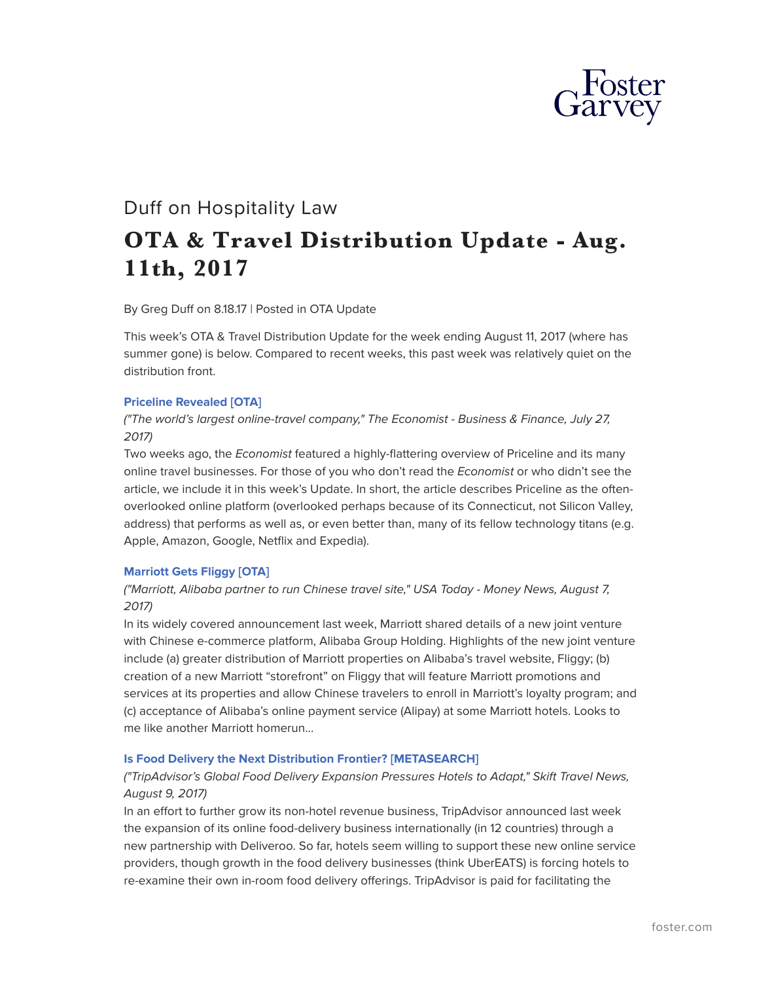

# Duff on Hospitality Law **OTA & Travel Distribution Update - Aug. 11th, 2017**

By Greg Duff on 8.18.17 | Posted in OTA Update

This week's OTA & Travel Distribution Update for the week ending August 11, 2017 (where has summer gone) is below. Compared to recent weeks, this past week was relatively quiet on the distribution front.

#### **[Priceline Revealed \[OTA\]](https://www.economist.com/news/business/21725579-and-best-run-internet-firm-after-amazon-worlds-largest-online-travel-company?fsrc=rss)**

*("The world's largest online-travel company," The Economist - Business & Finance, July 27, 2017)*

Two weeks ago, the *Economist* featured a highly-flattering overview of Priceline and its many online travel businesses. For those of you who don't read the *Economist* or who didn't see the article, we include it in this week's Update. In short, the article describes Priceline as the oftenoverlooked online platform (overlooked perhaps because of its Connecticut, not Silicon Valley, address) that performs as well as, or even better than, many of its fellow technology titans (e.g. Apple, Amazon, Google, Netflix and Expedia).

## **[Marriott Gets Fliggy \[OTA\]](https://www.usatoday.com/story/money/2017/08/07/marriott-alibaba-partner-run-chinese-travel-site/544578001/?utm_source=feedblitz&utm_medium=FeedBlitzRss&utm_campaign=usatodaycommoney-topstories)**

# *("Marriott, Alibaba partner to run Chinese travel site," USA Today - Money News, August 7, 2017)*

In its widely covered announcement last week, Marriott shared details of a new joint venture with Chinese e-commerce platform, Alibaba Group Holding. Highlights of the new joint venture include (a) greater distribution of Marriott properties on Alibaba's travel website, Fliggy; (b) creation of a new Marriott "storefront" on Fliggy that will feature Marriott promotions and services at its properties and allow Chinese travelers to enroll in Marriott's loyalty program; and (c) acceptance of Alibaba's online payment service (Alipay) at some Marriott hotels. Looks to me like another Marriott homerun

#### **[Is Food Delivery the Next Distribution Frontier? \[METASEARCH\]](https://skift.com/2017/08/04/tripadvisors-global-food-delivery-expansion-pressures-hotels-to-adapt/)**

# *("TripAdvisor's Global Food Delivery Expansion Pressures Hotels to Adapt," Skift Travel News, August 9, 2017)*

In an effort to further grow its non-hotel revenue business, TripAdvisor announced last week the expansion of its online food-delivery business internationally (in 12 countries) through a new partnership with Deliveroo. So far, hotels seem willing to support these new online service providers, though growth in the food delivery businesses (think UberEATS) is forcing hotels to re-examine their own in-room food delivery offerings. TripAdvisor is paid for facilitating the